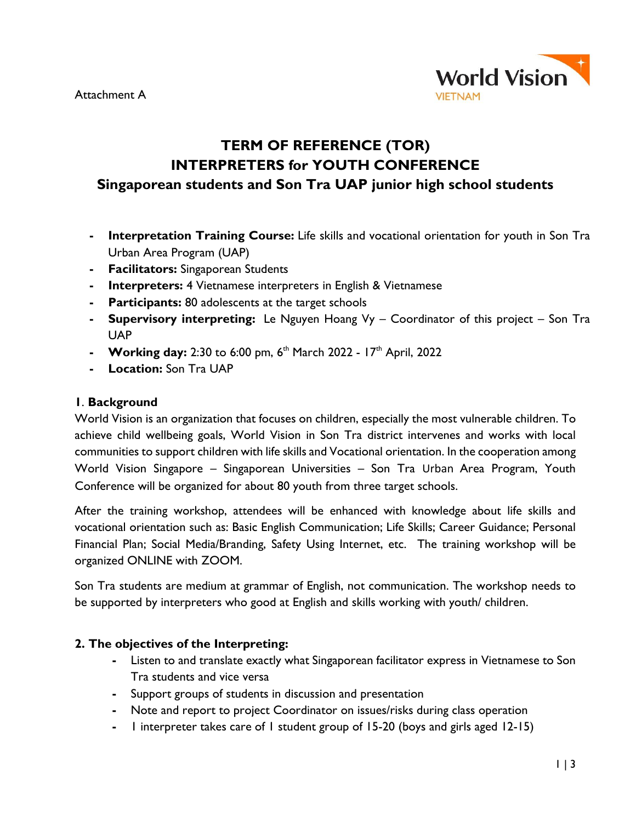

# **TERM OF REFERENCE (TOR) INTERPRETERS for YOUTH CONFERENCE Singaporean students and Son Tra UAP junior high school students**

- **- Interpretation Training Course:** Life skills and vocational orientation for youth in Son Tra Urban Area Program (UAP)
- **- Facilitators:** Singaporean Students
- **- Interpreters:** 4 Vietnamese interpreters in English & Vietnamese
- **- Participants:** 80 adolescents at the target schools
- **- Supervisory interpreting:** Le Nguyen Hoang Vy Coordinator of this project Son Tra UAP
- **Working day:** 2:30 to 6:00 pm, 6<sup>th</sup> March 2022 17<sup>th</sup> April, 2022
- **- Location:** Son Tra UAP

#### **1**. **Background**

World Vision is an organization that focuses on children, especially the most vulnerable children. To achieve child wellbeing goals, World Vision in Son Tra district intervenes and works with local communities to support children with life skills and Vocational orientation. In the cooperation among World Vision Singapore – Singaporean Universities – Son Tra Urban Area Program, Youth Conference will be organized for about 80 youth from three target schools.

After the training workshop, attendees will be enhanced with knowledge about life skills and vocational orientation such as: Basic English Communication; Life Skills; Career Guidance; Personal Financial Plan; Social Media/Branding, Safety Using Internet, etc. The training workshop will be organized ONLINE with ZOOM.

Son Tra students are medium at grammar of English, not communication. The workshop needs to be supported by interpreters who good at English and skills working with youth/ children.

#### **2. The objectives of the Interpreting:**

- **-** Listen to and translate exactly what Singaporean facilitator express in Vietnamese to Son Tra students and vice versa
- **-** Support groups of students in discussion and presentation
- **-** Note and report to project Coordinator on issues/risks during class operation
- **-** 1 interpreter takes care of 1 student group of 15-20 (boys and girls aged 12-15)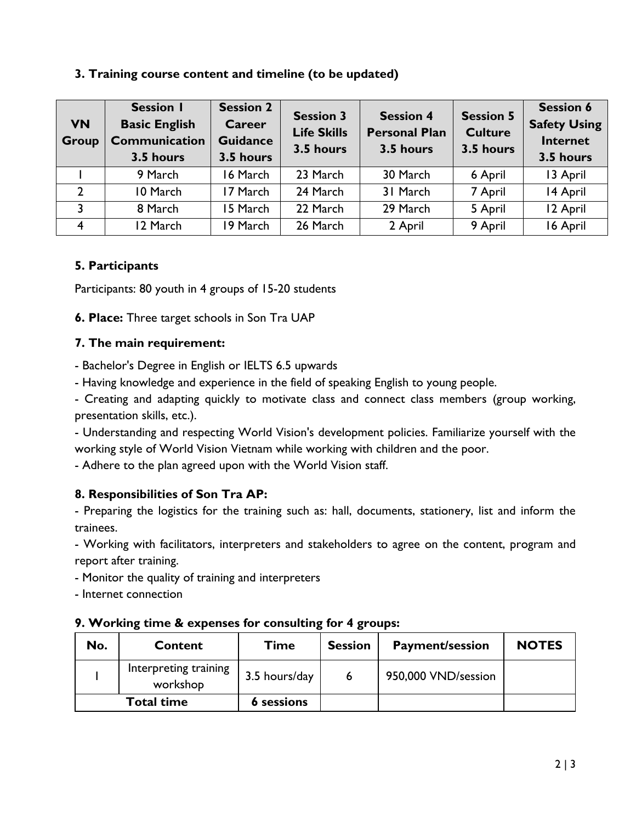## **3. Training course content and timeline (to be updated)**

| <b>VN</b><br>Group | <b>Session I</b><br><b>Basic English</b><br>Communication<br>3.5 hours | <b>Session 2</b><br><b>Career</b><br><b>Guidance</b><br>3.5 hours | <b>Session 3</b><br><b>Life Skills</b><br>3.5 hours | <b>Session 4</b><br><b>Personal Plan</b><br>3.5 hours | <b>Session 5</b><br><b>Culture</b><br>3.5 hours | <b>Session 6</b><br><b>Safety Using</b><br><b>Internet</b><br>3.5 hours |
|--------------------|------------------------------------------------------------------------|-------------------------------------------------------------------|-----------------------------------------------------|-------------------------------------------------------|-------------------------------------------------|-------------------------------------------------------------------------|
|                    | 9 March                                                                | 16 March                                                          | 23 March                                            | 30 March                                              | 6 April                                         | 13 April                                                                |
| $\mathcal{D}$      | 10 March                                                               | 17 March                                                          | 24 March                                            | 31 March                                              | 7 April                                         | 14 April                                                                |
| 3                  | 8 March                                                                | 15 March                                                          | 22 March                                            | 29 March                                              | 5 April                                         | 12 April                                                                |
| $\overline{4}$     | 12 March                                                               | 19 March                                                          | 26 March                                            | 2 April                                               | 9 April                                         | 16 April                                                                |

# **5. Participants**

Participants: 80 youth in 4 groups of 15-20 students

**6. Place:** Three target schools in Son Tra UAP

## **7. The main requirement:**

- Bachelor's Degree in English or IELTS 6.5 upwards

- Having knowledge and experience in the field of speaking English to young people.

- Creating and adapting quickly to motivate class and connect class members (group working, presentation skills, etc.).

- Understanding and respecting World Vision's development policies. Familiarize yourself with the working style of World Vision Vietnam while working with children and the poor.

- Adhere to the plan agreed upon with the World Vision staff.

# **8. Responsibilities of Son Tra AP:**

- Preparing the logistics for the training such as: hall, documents, stationery, list and inform the trainees.

- Working with facilitators, interpreters and stakeholders to agree on the content, program and report after training.

- Monitor the quality of training and interpreters

- Internet connection

# **9. Working time & expenses for consulting for 4 groups:**

| No.               | Content                           | <b>Time</b>       | <b>Session</b> | <b>Payment/session</b> | <b>NOTES</b> |
|-------------------|-----------------------------------|-------------------|----------------|------------------------|--------------|
|                   | Interpreting training<br>workshop | 3.5 hours/day     |                | 950,000 VND/session    |              |
| <b>Total time</b> |                                   | <b>6</b> sessions |                |                        |              |